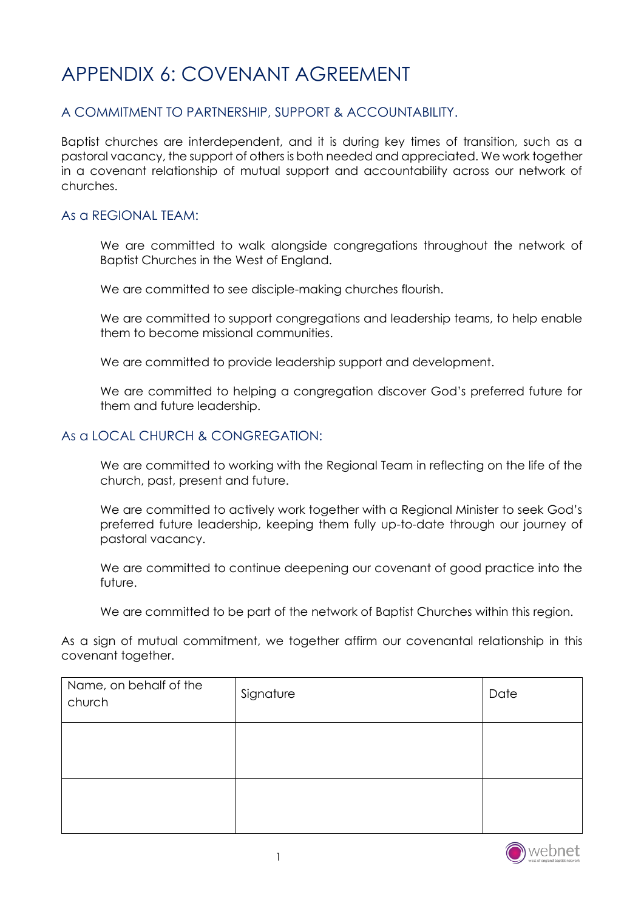# APPENDIX 6: COVENANT AGREEMENT

## A COMMITMENT TO PARTNERSHIP, SUPPORT & ACCOUNTABILITY.

Baptist churches are interdependent, and it is during key times of transition, such as a pastoral vacancy, the support of others is both needed and appreciated. We work together in a covenant relationship of mutual support and accountability across our network of churches.

### As a REGIONAL TEAM:

We are committed to walk alongside congregations throughout the network of Baptist Churches in the West of England.

We are committed to see disciple-making churches flourish.

We are committed to support congregations and leadership teams, to help enable them to become missional communities.

We are committed to provide leadership support and development.

We are committed to helping a congregation discover God's preferred future for them and future leadership.

#### As a LOCAL CHURCH & CONGREGATION:

We are committed to working with the Regional Team in reflecting on the life of the church, past, present and future.

We are committed to actively work together with a Regional Minister to seek God's preferred future leadership, keeping them fully up-to-date through our journey of pastoral vacancy.

We are committed to continue deepening our covenant of good practice into the future.

We are committed to be part of the network of Baptist Churches within this region.

As a sign of mutual commitment, we together affirm our covenantal relationship in this covenant together.

| Name, on behalf of the<br>church | Signature | Date |
|----------------------------------|-----------|------|
|                                  |           |      |
|                                  |           |      |